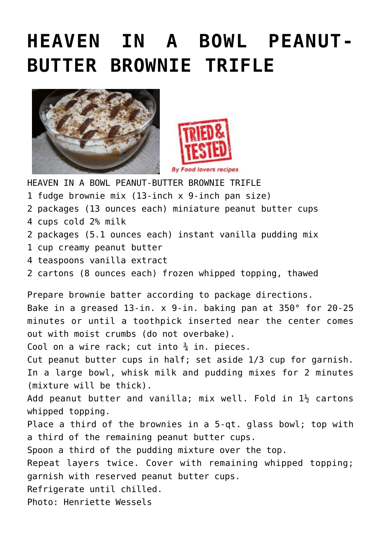## **[HEAVEN IN A BOWL PEANUT-](http://www.foodloversrecipes.com/2013/04/heaven-in-a-bowl-peanut-butter-brownie-trifle/)[BUTTER BROWNIE TRIFLE](http://www.foodloversrecipes.com/2013/04/heaven-in-a-bowl-peanut-butter-brownie-trifle/)**





HEAVEN IN A BOWL PEANUT-BUTTER BROWNIE TRIFLE

- 1 fudge brownie mix (13-inch x 9-inch pan size)
- 2 packages (13 ounces each) miniature peanut butter cups
- 4 cups cold 2% milk
- 2 packages (5.1 ounces each) instant vanilla pudding mix
- 1 cup creamy peanut butter
- 4 teaspoons vanilla extract
- 2 cartons (8 ounces each) frozen whipped topping, thawed

Prepare brownie batter according to package directions.

Bake in a greased 13-in. x 9-in. baking pan at 350° for 20-25 minutes or until a toothpick inserted near the center comes out with moist crumbs (do not overbake).

Cool on a wire rack; cut into  $\frac{3}{4}$  in. pieces.

Cut peanut butter cups in half; set aside 1/3 cup for garnish. In a large bowl, whisk milk and pudding mixes for 2 minutes (mixture will be thick).

Add peanut butter and vanilla; mix well. Fold in  $1\frac{1}{2}$  cartons whipped topping.

Place a third of the brownies in a 5-qt. glass bowl; top with a third of the remaining peanut butter cups.

Spoon a third of the pudding mixture over the top.

Repeat layers twice. Cover with remaining whipped topping; garnish with reserved peanut butter cups.

Refrigerate until chilled.

Photo: Henriette Wessels